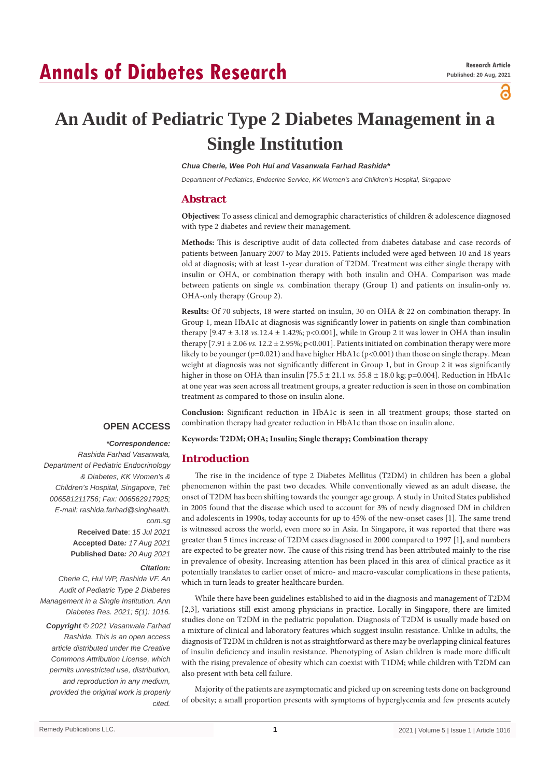# **Annals of Diabetes Research**

പ്പ

# **An Audit of Pediatric Type 2 Diabetes Management in a Single Institution**

*Chua Cherie, Wee Poh Hui and Vasanwala Farhad Rashida\**

*Department of Pediatrics, Endocrine Service, KK Women's and Children's Hospital, Singapore*

# **Abstract**

**Objectives:** To assess clinical and demographic characteristics of children & adolescence diagnosed with type 2 diabetes and review their management.

**Methods:** This is descriptive audit of data collected from diabetes database and case records of patients between January 2007 to May 2015. Patients included were aged between 10 and 18 years old at diagnosis; with at least 1-year duration of T2DM. Treatment was either single therapy with insulin or OHA, or combination therapy with both insulin and OHA. Comparison was made between patients on single *vs.* combination therapy (Group 1) and patients on insulin-only *vs.* OHA-only therapy (Group 2).

**Results:** Of 70 subjects, 18 were started on insulin, 30 on OHA & 22 on combination therapy. In Group 1, mean HbA1c at diagnosis was significantly lower in patients on single than combination therapy  $[9.47 \pm 3.18 \text{ vs. } 12.4 \pm 1.42\%$ ; p<0.001], while in Group 2 it was lower in OHA than insulin therapy  $[7.91 \pm 2.06 \text{ vs. } 12.2 \pm 2.95\%; \text{p} < 0.001]$ . Patients initiated on combination therapy were more likely to be younger (p=0.021) and have higher HbA1c (p<0.001) than those on single therapy. Mean weight at diagnosis was not significantly different in Group 1, but in Group 2 it was significantly higher in those on OHA than insulin  $[75.5 \pm 21.1 \text{ vs. } 55.8 \pm 18.0 \text{ kg}; \text{p=0.004}].$  Reduction in HbA1c at one year was seen across all treatment groups, a greater reduction is seen in those on combination treatment as compared to those on insulin alone.

**Conclusion:** Significant reduction in HbA1c is seen in all treatment groups; those started on combination therapy had greater reduction in HbA1c than those on insulin alone.

**Keywords: T2DM; OHA; Insulin; Single therapy; Combination therapy**

# **Introduction**

The rise in the incidence of type 2 Diabetes Mellitus (T2DM) in children has been a global phenomenon within the past two decades. While conventionally viewed as an adult disease, the onset of T2DM has been shifting towards the younger age group. A study in United States published in 2005 found that the disease which used to account for 3% of newly diagnosed DM in children and adolescents in 1990s, today accounts for up to 45% of the new-onset cases [1]. The same trend is witnessed across the world, even more so in Asia. In Singapore, it was reported that there was greater than 5 times increase of T2DM cases diagnosed in 2000 compared to 1997 [1], and numbers are expected to be greater now. The cause of this rising trend has been attributed mainly to the rise in prevalence of obesity. Increasing attention has been placed in this area of clinical practice as it potentially translates to earlier onset of micro- and macro-vascular complications in these patients, which in turn leads to greater healthcare burden.

While there have been guidelines established to aid in the diagnosis and management of T2DM [2,3], variations still exist among physicians in practice. Locally in Singapore, there are limited studies done on T2DM in the pediatric population. Diagnosis of T2DM is usually made based on a mixture of clinical and laboratory features which suggest insulin resistance. Unlike in adults, the diagnosis of T2DM in children is not as straightforward as there may be overlapping clinical features of insulin deficiency and insulin resistance. Phenotyping of Asian children is made more difficult with the rising prevalence of obesity which can coexist with T1DM; while children with T2DM can also present with beta cell failure.

Majority of the patients are asymptomatic and picked up on screening tests done on background of obesity; a small proportion presents with symptoms of hyperglycemia and few presents acutely

 *\*Correspondence: Rashida Farhad Vasanwala, Department of Pediatric Endocrinology & Diabetes, KK Women's & Children's Hospital, Singapore, Tel:* 

**OPEN ACCESS**

*006581211756; Fax: 006562917925; E-mail: rashida.farhad@singhealth. com.sg* **Received Date**: *15 Jul 2021*

**Accepted Date***: 17 Aug 2021* **Published Date***: 20 Aug 2021*

# *Citation:*

*Cherie C, Hui WP, Rashida VF. An Audit of Pediatric Type 2 Diabetes Management in a Single Institution. Ann Diabetes Res. 2021; 5(1): 1016. Copyright © 2021 Vasanwala Farhad Rashida. This is an open access article distributed under the Creative Commons Attribution License, which permits unrestricted use, distribution, and reproduction in any medium, provided the original work is properly cited.*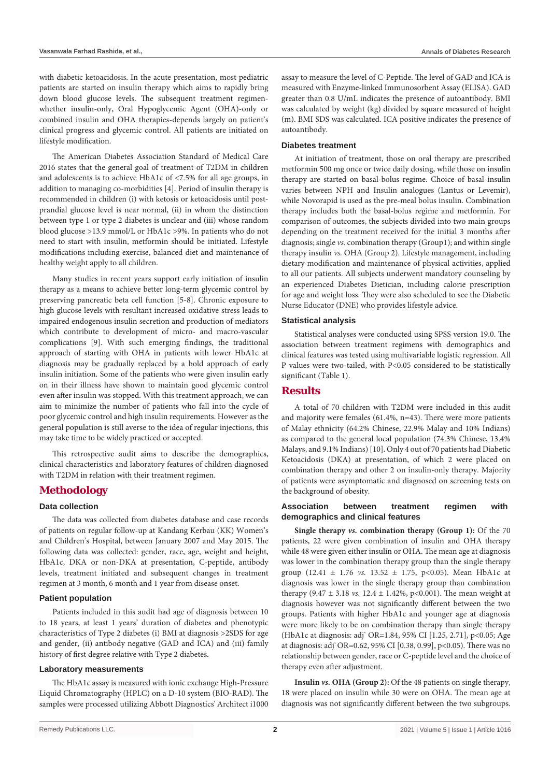with diabetic ketoacidosis. In the acute presentation, most pediatric patients are started on insulin therapy which aims to rapidly bring down blood glucose levels. The subsequent treatment regimenwhether insulin-only, Oral Hypoglycemic Agent (OHA)-only or combined insulin and OHA therapies-depends largely on patient's clinical progress and glycemic control. All patients are initiated on lifestyle modification.

The American Diabetes Association Standard of Medical Care 2016 states that the general goal of treatment of T2DM in children and adolescents is to achieve HbA1c of <7.5% for all age groups, in addition to managing co-morbidities [4]. Period of insulin therapy is recommended in children (i) with ketosis or ketoacidosis until postprandial glucose level is near normal, (ii) in whom the distinction between type 1 or type 2 diabetes is unclear and (iii) whose random blood glucose >13.9 mmol/L or HbA1c >9%. In patients who do not need to start with insulin, metformin should be initiated. Lifestyle modifications including exercise, balanced diet and maintenance of healthy weight apply to all children.

Many studies in recent years support early initiation of insulin therapy as a means to achieve better long-term glycemic control by preserving pancreatic beta cell function [5-8]. Chronic exposure to high glucose levels with resultant increased oxidative stress leads to impaired endogenous insulin secretion and production of mediators which contribute to development of micro- and macro-vascular complications [9]. With such emerging findings, the traditional approach of starting with OHA in patients with lower HbA1c at diagnosis may be gradually replaced by a bold approach of early insulin initiation. Some of the patients who were given insulin early on in their illness have shown to maintain good glycemic control even after insulin was stopped. With this treatment approach, we can aim to minimize the number of patients who fall into the cycle of poor glycemic control and high insulin requirements. However as the general population is still averse to the idea of regular injections, this may take time to be widely practiced or accepted.

This retrospective audit aims to describe the demographics, clinical characteristics and laboratory features of children diagnosed with T2DM in relation with their treatment regimen.

# **Methodology**

#### **Data collection**

The data was collected from diabetes database and case records of patients on regular follow-up at Kandang Kerbau (KK) Women's and Children's Hospital, between January 2007 and May 2015. The following data was collected: gender, race, age, weight and height, HbA1c, DKA or non-DKA at presentation, C-peptide, antibody levels, treatment initiated and subsequent changes in treatment regimen at 3 month, 6 month and 1 year from disease onset.

#### **Patient population**

Patients included in this audit had age of diagnosis between 10 to 18 years, at least 1 years' duration of diabetes and phenotypic characteristics of Type 2 diabetes (i) BMI at diagnosis >2SDS for age and gender, (ii) antibody negative (GAD and ICA) and (iii) family history of first degree relative with Type 2 diabetes.

#### **Laboratory measurements**

The HbA1c assay is measured with ionic exchange High-Pressure Liquid Chromatography (HPLC) on a D-10 system (BIO-RAD). The samples were processed utilizing Abbott Diagnostics' Architect i1000 assay to measure the level of C-Peptide. The level of GAD and ICA is measured with Enzyme-linked Immunosorbent Assay (ELISA). GAD greater than 0.8 U/mL indicates the presence of autoantibody. BMI was calculated by weight (kg) divided by square measured of height (m). BMI SDS was calculated. ICA positive indicates the presence of autoantibody.

#### **Diabetes treatment**

At initiation of treatment, those on oral therapy are prescribed metformin 500 mg once or twice daily dosing, while those on insulin therapy are started on basal-bolus regime. Choice of basal insulin varies between NPH and Insulin analogues (Lantus or Levemir), while Novorapid is used as the pre-meal bolus insulin. Combination therapy includes both the basal-bolus regime and metformin. For comparison of outcomes, the subjects divided into two main groups depending on the treatment received for the initial 3 months after diagnosis; single *vs.* combination therapy (Group1); and within single therapy insulin *vs.* OHA (Group 2). Lifestyle management, including dietary modification and maintenance of physical activities, applied to all our patients. All subjects underwent mandatory counseling by an experienced Diabetes Dietician, including calorie prescription for age and weight loss. They were also scheduled to see the Diabetic Nurse Educator (DNE) who provides lifestyle advice.

#### **Statistical analysis**

Statistical analyses were conducted using SPSS version 19.0. The association between treatment regimens with demographics and clinical features was tested using multivariable logistic regression. All P values were two-tailed, with P<0.05 considered to be statistically significant (Table 1).

## **Results**

A total of 70 children with T2DM were included in this audit and majority were females (61.4%, n=43). There were more patients of Malay ethnicity (64.2% Chinese, 22.9% Malay and 10% Indians) as compared to the general local population (74.3% Chinese, 13.4% Malays, and 9.1% Indians) [10]. Only 4 out of 70 patients had Diabetic Ketoacidosis (DKA) at presentation, of which 2 were placed on combination therapy and other 2 on insulin-only therapy. Majority of patients were asymptomatic and diagnosed on screening tests on the background of obesity.

# **Association between treatment regimen with demographics and clinical features**

**Single therapy** *vs.* **combination therapy (Group 1):** Of the 70 patients, 22 were given combination of insulin and OHA therapy while 48 were given either insulin or OHA. The mean age at diagnosis was lower in the combination therapy group than the single therapy group (12.41 ± 1.76 *vs.* 13.52 ± 1.75, p<0.05). Mean HbA1c at diagnosis was lower in the single therapy group than combination therapy  $(9.47 \pm 3.18 \text{ vs. } 12.4 \pm 1.42\% \text{, } p<0.001)$ . The mean weight at diagnosis however was not significantly different between the two groups. Patients with higher HbA1c and younger age at diagnosis were more likely to be on combination therapy than single therapy (HbA1c at diagnosis: adj\* OR=1.84, 95% CI [1.25, 2.71], p<0.05; Age at diagnosis: adj\* OR=0.62, 95% CI [0.38, 0.99], p<0.05). There was no relationship between gender, race or C-peptide level and the choice of therapy even after adjustment.

**Insulin** *vs.* **OHA (Group 2):** Of the 48 patients on single therapy, 18 were placed on insulin while 30 were on OHA. The mean age at diagnosis was not significantly different between the two subgroups.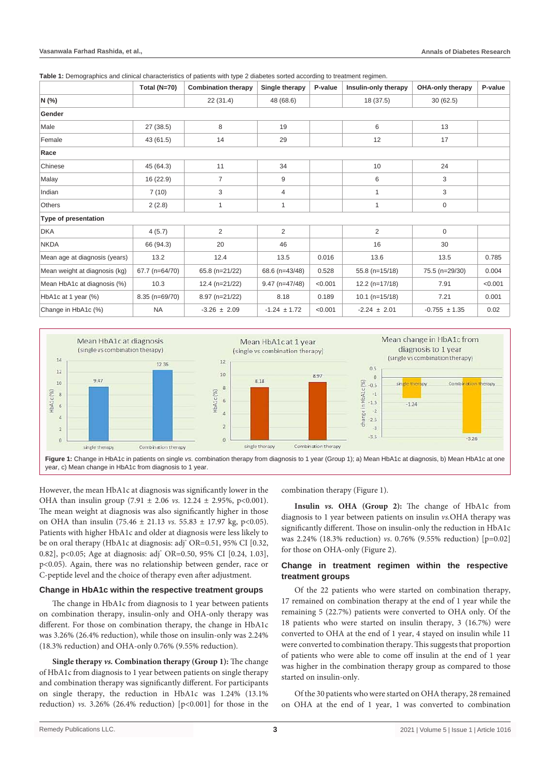**Table 1:** Demographics and clinical characteristics of patients with type 2 diabetes sorted according to treatment regimen.

|                               | Total $(N=70)$  | <b>Combination therapy</b> | Single therapy   | P-value | Insulin-only therapy | <b>OHA-only therapy</b> | P-value |
|-------------------------------|-----------------|----------------------------|------------------|---------|----------------------|-------------------------|---------|
| N (%)                         |                 | 22(31.4)                   | 48 (68.6)        |         | 18 (37.5)            | 30(62.5)                |         |
| Gender                        |                 |                            |                  |         |                      |                         |         |
| Male                          | 27 (38.5)       | 8                          | 19               |         | 6                    | 13                      |         |
| Female                        | 43 (61.5)       | 14                         | 29               |         | 12                   | 17                      |         |
| Race                          |                 |                            |                  |         |                      |                         |         |
| Chinese                       | 45 (64.3)       | 11                         | 34               |         | 10                   | 24                      |         |
| Malay                         | 16 (22.9)       | 7                          | 9                |         | 6                    | 3                       |         |
| Indian                        | 7(10)           | 3                          | 4                |         | 1                    | 3                       |         |
| <b>Others</b>                 | 2(2.8)          | 1                          | 1                |         | 1                    | $\mathbf 0$             |         |
| Type of presentation          |                 |                            |                  |         |                      |                         |         |
| <b>DKA</b>                    | 4(5.7)          | $\overline{2}$             | 2                |         | $\overline{2}$       | $\mathbf 0$             |         |
| <b>NKDA</b>                   | 66 (94.3)       | 20                         | 46               |         | 16                   | 30                      |         |
| Mean age at diagnosis (years) | 13.2            | 12.4                       | 13.5             | 0.016   | 13.6                 | 13.5                    | 0.785   |
| Mean weight at diagnosis (kg) | 67.7 (n=64/70)  | 65.8 (n=21/22)             | 68.6 (n=43/48)   | 0.528   | 55.8 (n=15/18)       | 75.5 (n=29/30)          | 0.004   |
| Mean HbA1c at diagnosis (%)   | 10.3            | 12.4 (n=21/22)             | $9.47$ (n=47/48) | < 0.001 | $12.2(n=17/18)$      | 7.91                    | < 0.001 |
| HbA1c at 1 year (%)           | $8.35(n=69/70)$ | $8.97$ (n= $21/22$ )       | 8.18             | 0.189   | $10.1$ (n=15/18)     | 7.21                    | 0.001   |
| Change in HbA1c (%)           | <b>NA</b>       | $-3.26 \pm 2.09$           | $-1.24 \pm 1.72$ | < 0.001 | $-2.24 \pm 2.01$     | $-0.755 \pm 1.35$       | 0.02    |



However, the mean HbA1c at diagnosis was significantly lower in the OHA than insulin group (7.91 ± 2.06 *vs.* 12.24 *±* 2.95%, p<0.001). The mean weight at diagnosis was also significantly higher in those on OHA than insulin (75.46 ± 21.13 *vs.* 55.83 ± 17.97 kg, p<0.05). Patients with higher HbA1c and older at diagnosis were less likely to be on oral therapy (HbA1c at diagnosis: adj\* OR=0.51, 95% CI [0.32, 0.82], p<0.05; Age at diagnosis: adj\* OR=0.50, 95% CI [0.24, 1.03], p<0.05). Again, there was no relationship between gender, race or C-peptide level and the choice of therapy even after adjustment.

#### **Change in HbA1c within the respective treatment groups**

The change in HbA1c from diagnosis to 1 year between patients on combination therapy, insulin-only and OHA-only therapy was different. For those on combination therapy, the change in HbA1c was 3.26% (26.4% reduction), while those on insulin-only was 2.24% (18.3% reduction) and OHA-only 0.76% (9.55% reduction).

**Single therapy** *vs.* **Combination therapy (Group 1):** The change of HbA1c from diagnosis to 1 year between patients on single therapy and combination therapy was significantly different. For participants on single therapy, the reduction in HbA1c was 1.24% (13.1% reduction)  $vs. 3.26\%$  (26.4% reduction)  $[p<0.001]$  for those in the combination therapy (Figure 1).

**Insulin** *vs.* **OHA (Group 2):** The change of HbA1c from diagnosis to 1 year between patients on insulin *vs.*OHA therapy was significantly different. Those on insulin-only the reduction in HbA1c was 2.24% (18.3% reduction) *vs*. 0.76% (9.55% reduction) [p=0.02] for those on OHA-only (Figure 2).

# **Change in treatment regimen within the respective treatment groups**

Of the 22 patients who were started on combination therapy, 17 remained on combination therapy at the end of 1 year while the remaining 5 (22.7%) patients were converted to OHA only. Of the 18 patients who were started on insulin therapy, 3 (16.7%) were converted to OHA at the end of 1 year, 4 stayed on insulin while 11 were converted to combination therapy. This suggests that proportion of patients who were able to come off insulin at the end of 1 year was higher in the combination therapy group as compared to those started on insulin-only.

Of the 30 patients who were started on OHA therapy, 28 remained on OHA at the end of 1 year, 1 was converted to combination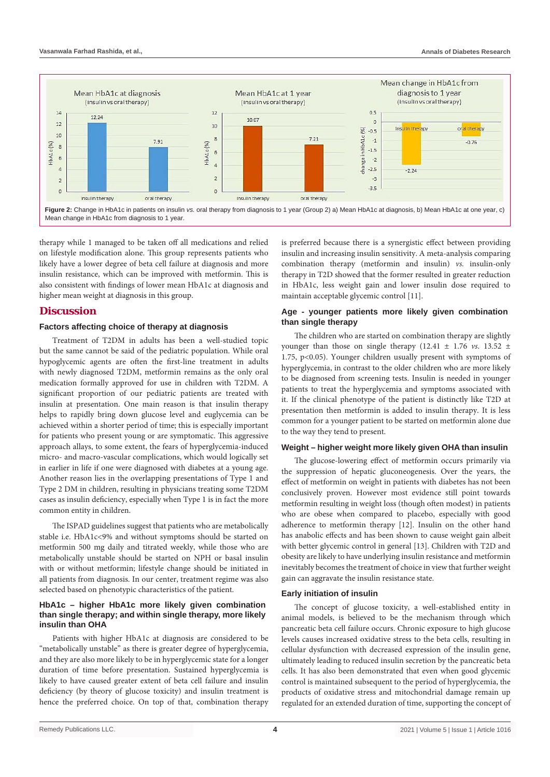

therapy while 1 managed to be taken off all medications and relied on lifestyle modification alone. This group represents patients who likely have a lower degree of beta cell failure at diagnosis and more insulin resistance, which can be improved with metformin. This is also consistent with findings of lower mean HbA1c at diagnosis and higher mean weight at diagnosis in this group.

# **Discussion**

#### **Factors affecting choice of therapy at diagnosis**

Treatment of T2DM in adults has been a well-studied topic but the same cannot be said of the pediatric population. While oral hypoglycemic agents are often the first-line treatment in adults with newly diagnosed T2DM, metformin remains as the only oral medication formally approved for use in children with T2DM. A significant proportion of our pediatric patients are treated with insulin at presentation. One main reason is that insulin therapy helps to rapidly bring down glucose level and euglycemia can be achieved within a shorter period of time; this is especially important for patients who present young or are symptomatic. This aggressive approach allays, to some extent, the fears of hyperglycemia-induced micro- and macro-vascular complications, which would logically set in earlier in life if one were diagnosed with diabetes at a young age. Another reason lies in the overlapping presentations of Type 1 and Type 2 DM in children, resulting in physicians treating some T2DM cases as insulin deficiency, especially when Type 1 is in fact the more common entity in children.

The ISPAD guidelines suggest that patients who are metabolically stable i.e. HbA1c<9% and without symptoms should be started on metformin 500 mg daily and titrated weekly, while those who are metabolically unstable should be started on NPH or basal insulin with or without metformin; lifestyle change should be initiated in all patients from diagnosis. In our center, treatment regime was also selected based on phenotypic characteristics of the patient.

# **HbA1c – higher HbA1c more likely given combination than single therapy; and within single therapy, more likely insulin than OHA**

Patients with higher HbA1c at diagnosis are considered to be "metabolically unstable" as there is greater degree of hyperglycemia, and they are also more likely to be in hyperglycemic state for a longer duration of time before presentation. Sustained hyperglycemia is likely to have caused greater extent of beta cell failure and insulin deficiency (by theory of glucose toxicity) and insulin treatment is hence the preferred choice. On top of that, combination therapy

is preferred because there is a synergistic effect between providing insulin and increasing insulin sensitivity. A meta-analysis comparing combination therapy (metformin and insulin) *vs.* insulin-only therapy in T2D showed that the former resulted in greater reduction in HbA1c, less weight gain and lower insulin dose required to maintain acceptable glycemic control [11].

# **Age - younger patients more likely given combination than single therapy**

The children who are started on combination therapy are slightly younger than those on single therapy (12.41 ± 1.76 *vs*. 13.52 *±* 1.75, p<0.05). Younger children usually present with symptoms of hyperglycemia, in contrast to the older children who are more likely to be diagnosed from screening tests. Insulin is needed in younger patients to treat the hyperglycemia and symptoms associated with it. If the clinical phenotype of the patient is distinctly like T2D at presentation then metformin is added to insulin therapy. It is less common for a younger patient to be started on metformin alone due to the way they tend to present.

#### **Weight – higher weight more likely given OHA than insulin**

The glucose-lowering effect of metformin occurs primarily via the suppression of hepatic gluconeogenesis. Over the years, the effect of metformin on weight in patients with diabetes has not been conclusively proven. However most evidence still point towards metformin resulting in weight loss (though often modest) in patients who are obese when compared to placebo, especially with good adherence to metformin therapy [12]. Insulin on the other hand has anabolic effects and has been shown to cause weight gain albeit with better glycemic control in general [13]. Children with T2D and obesity are likely to have underlying insulin resistance and metformin inevitably becomes the treatment of choice in view that further weight gain can aggravate the insulin resistance state.

#### **Early initiation of insulin**

The concept of glucose toxicity, a well-established entity in animal models, is believed to be the mechanism through which pancreatic beta cell failure occurs. Chronic exposure to high glucose levels causes increased oxidative stress to the beta cells, resulting in cellular dysfunction with decreased expression of the insulin gene, ultimately leading to reduced insulin secretion by the pancreatic beta cells. It has also been demonstrated that even when good glycemic control is maintained subsequent to the period of hyperglycemia, the products of oxidative stress and mitochondrial damage remain up regulated for an extended duration of time, supporting the concept of